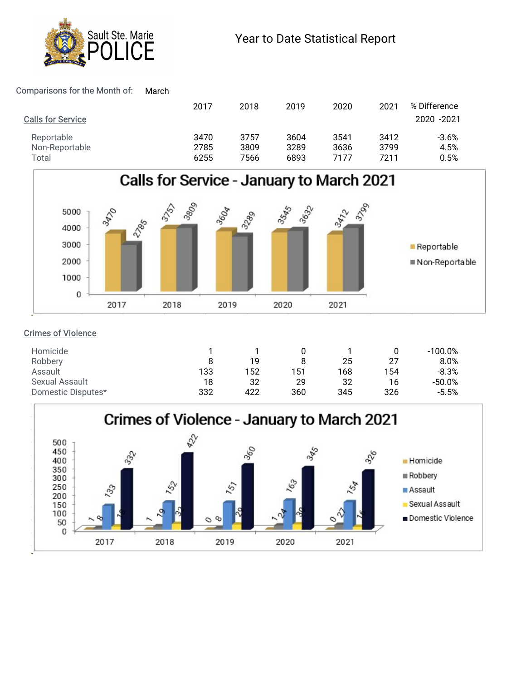

### Comparisons for the Month of: March

| Sault Ste. Marie<br><b>ICE</b>        |              |              | Year to Date Statistical Report |              |              |              |
|---------------------------------------|--------------|--------------|---------------------------------|--------------|--------------|--------------|
| omparisons for the Month of:<br>March |              |              |                                 |              |              |              |
|                                       |              |              |                                 |              |              |              |
|                                       | 2017         | 2018         | 2019                            | 2020         | 2021         | % Difference |
| <b>Calls for Service</b>              |              |              |                                 |              |              | 2020 - 2021  |
| Reportable                            | 3470         | 3757         | 3604                            | 3541         | 3412         | $-3.6%$      |
| Non-Reportable<br>Total               | 2785<br>6255 | 3809<br>7566 | 3289<br>6893                    | 3636<br>7177 | 3799<br>7211 | 4.5%<br>0.5% |



# Crimes of Violence

| Homicide           |     |     |     |     |                | 100.0%   |
|--------------------|-----|-----|-----|-----|----------------|----------|
| Robbery            |     | 19  |     | 25  | ゥフ<br><u>.</u> | 8.0%     |
| Assault            | 133 | 152 | 151 | 168 | 154            | $-8.3%$  |
| Sexual Assault     | 18  | 32  | 29  | 32  | 16             | $-50.0%$ |
| Domestic Disputes* | 332 | 422 | 360 | 345 | 326            | $-5.5%$  |
|                    |     |     |     |     |                |          |